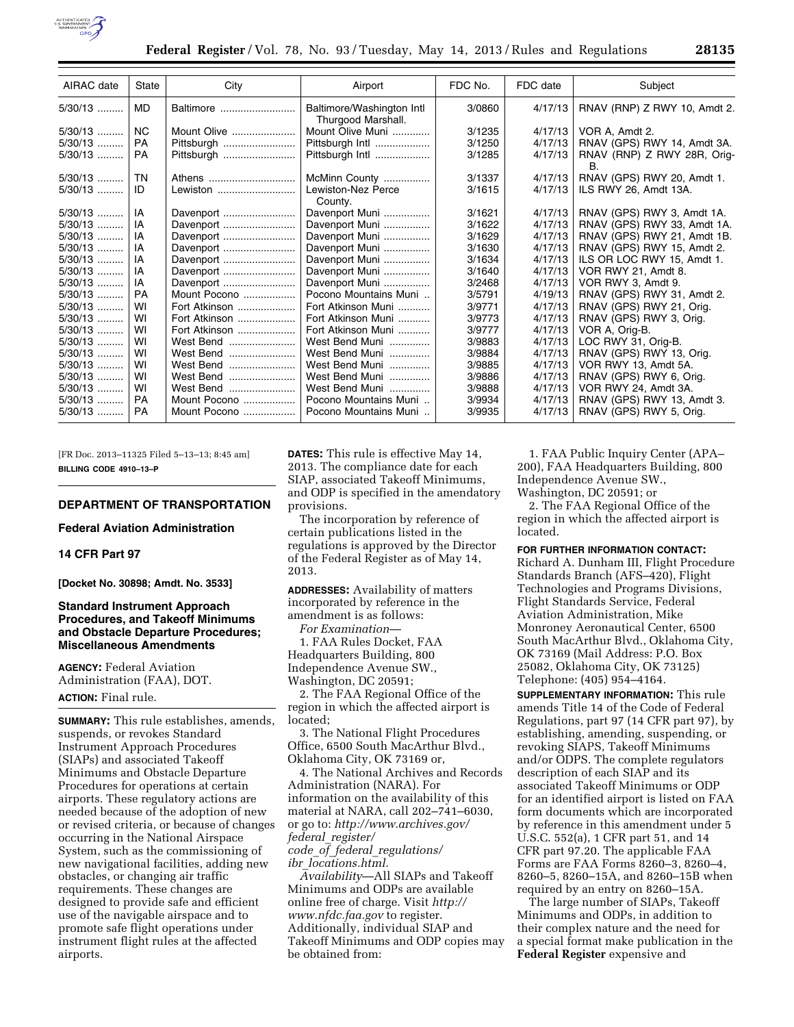

| AIRAC date | State          | City          | Airport                                         | FDC No. | FDC date | Subject                           |
|------------|----------------|---------------|-------------------------------------------------|---------|----------|-----------------------------------|
| $5/30/13$  | <b>MD</b>      | Baltimore     | Baltimore/Washington Intl<br>Thurgood Marshall. | 3/0860  | 4/17/13  | RNAV (RNP) Z RWY 10, Amdt 2.      |
| $5/30/13$  | N <sub>C</sub> | Mount Olive   | Mount Olive Muni                                | 3/1235  | 4/17/13  | VOR A, Amdt 2.                    |
| $5/30/13$  | <b>PA</b>      | Pittsburgh    | Pittsburgh Intl                                 | 3/1250  | 4/17/13  | RNAV (GPS) RWY 14, Amdt 3A.       |
| $5/30/13$  | <b>PA</b>      | Pittsburgh    | Pittsburgh Intl                                 | 3/1285  | 4/17/13  | RNAV (RNP) Z RWY 28R, Orig-<br>В. |
| $5/30/13$  | TN             | Athens        | McMinn County                                   | 3/1337  | 4/17/13  | RNAV (GPS) RWY 20, Amdt 1.        |
| 5/30/13    | ID             | Lewiston      | Lewiston-Nez Perce<br>County.                   | 3/1615  | 4/17/13  | ILS RWY 26, Amdt 13A.             |
| $5/30/13$  | IA             | Davenport     | Davenport Muni                                  | 3/1621  | 4/17/13  | RNAV (GPS) RWY 3, Amdt 1A.        |
| $5/30/13$  | IA             | Davenport     | Davenport Muni                                  | 3/1622  | 4/17/13  | RNAV (GPS) RWY 33, Amdt 1A.       |
| $5/30/13$  | IA             | Davenport     | Davenport Muni                                  | 3/1629  | 4/17/13  | RNAV (GPS) RWY 21, Amdt 1B.       |
| $5/30/13$  | IA             | Davenport     | Davenport Muni                                  | 3/1630  | 4/17/13  | RNAV (GPS) RWY 15, Amdt 2.        |
| $5/30/13$  | IA             | Davenport     | Davenport Muni                                  | 3/1634  | 4/17/13  | ILS OR LOC RWY 15, Amdt 1.        |
| $5/30/13$  | IA             | Davenport     | Davenport Muni                                  | 3/1640  | 4/17/13  | VOR RWY 21, Amdt 8.               |
| $5/30/13$  | IA             | Davenport     | Davenport Muni                                  | 3/2468  | 4/17/13  | VOR RWY 3, Amdt 9.                |
| $5/30/13$  | <b>PA</b>      | Mount Pocono  | Pocono Mountains Muni                           | 3/5791  | 4/19/13  | RNAV (GPS) RWY 31, Amdt 2.        |
| 5/30/13    | WI             | Fort Atkinson | Fort Atkinson Muni                              | 3/9771  | 4/17/13  | RNAV (GPS) RWY 21, Orig.          |
| $5/30/13$  | WI             | Fort Atkinson | Fort Atkinson Muni                              | 3/9773  | 4/17/13  | RNAV (GPS) RWY 3, Orig.           |
| $5/30/13$  | WI             | Fort Atkinson | Fort Atkinson Muni                              | 3/9777  | 4/17/13  | VOR A, Orig-B.                    |
| $5/30/13$  | WI             | West Bend     | West Bend Muni                                  | 3/9883  | 4/17/13  | LOC RWY 31, Orig-B.               |
| 5/30/13    | WI             | West Bend     | West Bend Muni                                  | 3/9884  | 4/17/13  | RNAV (GPS) RWY 13, Orig.          |
| $5/30/13$  | WI             | West Bend     | West Bend Muni                                  | 3/9885  | 4/17/13  | VOR RWY 13, Amdt 5A.              |
| $5/30/13$  | WI             | West Bend     | West Bend Muni                                  | 3/9886  | 4/17/13  | RNAV (GPS) RWY 6, Orig.           |
| 5/30/13    | WI             | West Bend     | West Bend Muni                                  | 3/9888  | 4/17/13  | VOR RWY 24, Amdt 3A.              |
| $5/30/13$  | PA             | Mount Pocono  | Pocono Mountains Muni                           | 3/9934  | 4/17/13  | RNAV (GPS) RWY 13, Amdt 3.        |
| 5/30/13    | <b>PA</b>      | Mount Pocono  | Pocono Mountains Muni                           | 3/9935  | 4/17/13  | RNAV (GPS) RWY 5, Orig.           |

[FR Doc. 2013–11325 Filed 5–13–13; 8:45 am] **BILLING CODE 4910–13–P** 

## **DEPARTMENT OF TRANSPORTATION**

**Federal Aviation Administration** 

## **14 CFR Part 97**

**[Docket No. 30898; Amdt. No. 3533]** 

## **Standard Instrument Approach Procedures, and Takeoff Minimums and Obstacle Departure Procedures; Miscellaneous Amendments**

**AGENCY:** Federal Aviation Administration (FAA), DOT. **ACTION:** Final rule.

**SUMMARY:** This rule establishes, amends, suspends, or revokes Standard Instrument Approach Procedures (SIAPs) and associated Takeoff Minimums and Obstacle Departure Procedures for operations at certain airports. These regulatory actions are needed because of the adoption of new or revised criteria, or because of changes occurring in the National Airspace System, such as the commissioning of new navigational facilities, adding new obstacles, or changing air traffic requirements. These changes are designed to provide safe and efficient use of the navigable airspace and to promote safe flight operations under instrument flight rules at the affected airports.

**DATES:** This rule is effective May 14, 2013. The compliance date for each SIAP, associated Takeoff Minimums, and ODP is specified in the amendatory provisions.

The incorporation by reference of certain publications listed in the regulations is approved by the Director of the Federal Register as of May 14, 2013.

**ADDRESSES:** Availability of matters incorporated by reference in the amendment is as follows:

*For Examination*—

1. FAA Rules Docket, FAA Headquarters Building, 800 Independence Avenue SW., Washington, DC 20591;

2. The FAA Regional Office of the region in which the affected airport is located;

3. The National Flight Procedures Office, 6500 South MacArthur Blvd., Oklahoma City, OK 73169 or,

4. The National Archives and Records Administration (NARA). For information on the availability of this material at NARA, call 202–741–6030, or go to: *[http://www.archives.gov/](http://www.archives.gov/federal_register/code_of_federal_regulations/ibr_locations.html)  federal*\_*register/ code*\_*of*\_*federal*\_*regulations/ ibr*\_*[locations.html.](http://www.archives.gov/federal_register/code_of_federal_regulations/ibr_locations.html)* 

*Availability*—All SIAPs and Takeoff Minimums and ODPs are available online free of charge. Visit *[http://](http://www.nfdc.faa.gov)  [www.nfdc.faa.gov](http://www.nfdc.faa.gov)* to register. Additionally, individual SIAP and Takeoff Minimums and ODP copies may be obtained from:

1. FAA Public Inquiry Center (APA– 200), FAA Headquarters Building, 800 Independence Avenue SW., Washington, DC 20591; or

2. The FAA Regional Office of the region in which the affected airport is located.

#### **FOR FURTHER INFORMATION CONTACT:**

Richard A. Dunham III, Flight Procedure Standards Branch (AFS–420), Flight Technologies and Programs Divisions, Flight Standards Service, Federal Aviation Administration, Mike Monroney Aeronautical Center, 6500 South MacArthur Blvd., Oklahoma City, OK 73169 (Mail Address: P.O. Box 25082, Oklahoma City, OK 73125) Telephone: (405) 954–4164.

**SUPPLEMENTARY INFORMATION:** This rule amends Title 14 of the Code of Federal Regulations, part 97 (14 CFR part 97), by establishing, amending, suspending, or revoking SIAPS, Takeoff Minimums and/or ODPS. The complete regulators description of each SIAP and its associated Takeoff Minimums or ODP for an identified airport is listed on FAA form documents which are incorporated by reference in this amendment under 5 U.S.C. 552(a), 1 CFR part 51, and 14 CFR part 97.20. The applicable FAA Forms are FAA Forms 8260–3, 8260–4, 8260–5, 8260–15A, and 8260–15B when required by an entry on 8260–15A.

The large number of SIAPs, Takeoff Minimums and ODPs, in addition to their complex nature and the need for a special format make publication in the **Federal Register** expensive and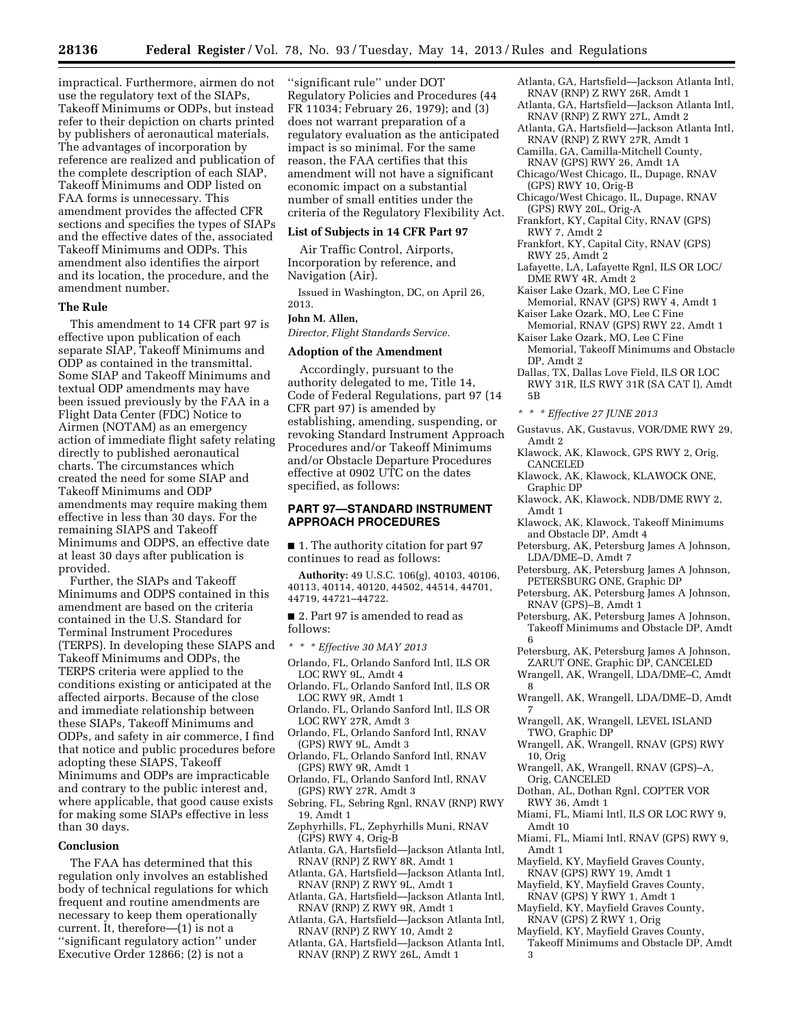impractical. Furthermore, airmen do not use the regulatory text of the SIAPs, Takeoff Minimums or ODPs, but instead refer to their depiction on charts printed by publishers of aeronautical materials. The advantages of incorporation by reference are realized and publication of the complete description of each SIAP, Takeoff Minimums and ODP listed on FAA forms is unnecessary. This amendment provides the affected CFR sections and specifies the types of SIAPs and the effective dates of the, associated Takeoff Minimums and ODPs. This amendment also identifies the airport and its location, the procedure, and the amendment number.

#### **The Rule**

This amendment to 14 CFR part 97 is effective upon publication of each separate SIAP, Takeoff Minimums and ODP as contained in the transmittal. Some SIAP and Takeoff Minimums and textual ODP amendments may have been issued previously by the FAA in a Flight Data Center (FDC) Notice to Airmen (NOTAM) as an emergency action of immediate flight safety relating directly to published aeronautical charts. The circumstances which created the need for some SIAP and Takeoff Minimums and ODP amendments may require making them effective in less than 30 days. For the remaining SIAPS and Takeoff Minimums and ODPS, an effective date at least 30 days after publication is provided.

Further, the SIAPs and Takeoff Minimums and ODPS contained in this amendment are based on the criteria contained in the U.S. Standard for Terminal Instrument Procedures (TERPS). In developing these SIAPS and Takeoff Minimums and ODPs, the TERPS criteria were applied to the conditions existing or anticipated at the affected airports. Because of the close and immediate relationship between these SIAPs, Takeoff Minimums and ODPs, and safety in air commerce, I find that notice and public procedures before adopting these SIAPS, Takeoff Minimums and ODPs are impracticable and contrary to the public interest and, where applicable, that good cause exists for making some SIAPs effective in less than 30 days.

#### **Conclusion**

The FAA has determined that this regulation only involves an established body of technical regulations for which frequent and routine amendments are necessary to keep them operationally current. It, therefore—(1) is not a ''significant regulatory action'' under Executive Order 12866; (2) is not a

''significant rule'' under DOT Regulatory Policies and Procedures (44 FR 11034; February 26, 1979); and (3) does not warrant preparation of a regulatory evaluation as the anticipated impact is so minimal. For the same reason, the FAA certifies that this amendment will not have a significant economic impact on a substantial number of small entities under the criteria of the Regulatory Flexibility Act.

#### **List of Subjects in 14 CFR Part 97**

Air Traffic Control, Airports, Incorporation by reference, and Navigation (Air).

Issued in Washington, DC, on April 26, 2013.

## **John M. Allen,**

*Director, Flight Standards Service.* 

#### **Adoption of the Amendment**

Accordingly, pursuant to the authority delegated to me, Title 14, Code of Federal Regulations, part 97 (14 CFR part 97) is amended by establishing, amending, suspending, or revoking Standard Instrument Approach Procedures and/or Takeoff Minimums and/or Obstacle Departure Procedures effective at 0902 UTC on the dates specified, as follows:

### **PART 97—STANDARD INSTRUMENT APPROACH PROCEDURES**

■ 1. The authority citation for part 97 continues to read as follows:

**Authority:** 49 U.S.C. 106(g), 40103, 40106, 40113, 40114, 40120, 44502, 44514, 44701, 44719, 44721–44722.

■ 2. Part 97 is amended to read as follows:

- *\* \* \* Effective 30 MAY 2013*
- Orlando, FL, Orlando Sanford Intl, ILS OR LOC RWY 9L, Amdt 4
- Orlando, FL, Orlando Sanford Intl, ILS OR LOC RWY 9R, Amdt 1
- Orlando, FL, Orlando Sanford Intl, ILS OR LOC RWY 27R, Amdt 3
- Orlando, FL, Orlando Sanford Intl, RNAV (GPS) RWY 9L, Amdt 3
- Orlando, FL, Orlando Sanford Intl, RNAV (GPS) RWY 9R, Amdt 1
- Orlando, FL, Orlando Sanford Intl, RNAV (GPS) RWY 27R, Amdt 3
- Sebring, FL, Sebring Rgnl, RNAV (RNP) RWY 19, Amdt 1
- Zephyrhills, FL, Zephyrhills Muni, RNAV (GPS) RWY 4, Orig-B
- Atlanta, GA, Hartsfield—Jackson Atlanta Intl, RNAV (RNP) Z RWY 8R, Amdt 1
- Atlanta, GA, Hartsfield—Jackson Atlanta Intl, RNAV (RNP) Z RWY 9L, Amdt 1
- Atlanta, GA, Hartsfield—Jackson Atlanta Intl, RNAV (RNP) Z RWY 9R, Amdt 1
- Atlanta, GA, Hartsfield—Jackson Atlanta Intl, RNAV (RNP) Z RWY 10, Amdt 2
- Atlanta, GA, Hartsfield—Jackson Atlanta Intl, RNAV (RNP) Z RWY 26L, Amdt 1
- Atlanta, GA, Hartsfield—Jackson Atlanta Intl, RNAV (RNP) Z RWY 26R, Amdt 1
- Atlanta, GA, Hartsfield—Jackson Atlanta Intl, RNAV (RNP) Z RWY 27L, Amdt 2
- Atlanta, GA, Hartsfield—Jackson Atlanta Intl, RNAV (RNP) Z RWY 27R, Amdt 1
- Camilla, GA, Camilla-Mitchell County, RNAV (GPS) RWY 26, Amdt 1A
- Chicago/West Chicago, IL, Dupage, RNAV (GPS) RWY 10, Orig-B
- Chicago/West Chicago, IL, Dupage, RNAV (GPS) RWY 20L, Orig-A
- Frankfort, KY, Capital City, RNAV (GPS) RWY 7, Amdt 2
- Frankfort, KY, Capital City, RNAV (GPS) RWY 25, Amdt 2
- Lafayette, LA, Lafayette Rgnl, ILS OR LOC/ DME RWY 4R, Amdt 2
- Kaiser Lake Ozark, MO, Lee C Fine
- Memorial, RNAV (GPS) RWY 4, Amdt 1 Kaiser Lake Ozark, MO, Lee C Fine Memorial, RNAV (GPS) RWY 22, Amdt 1
- Kaiser Lake Ozark, MO, Lee C Fine
- Memorial, Takeoff Minimums and Obstacle DP, Amdt 2
- Dallas, TX, Dallas Love Field, ILS OR LOC RWY 31R, ILS RWY 31R (SA CAT I), Amdt 5B
- *\* \* \* Effective 27 JUNE 2013*
- Gustavus, AK, Gustavus, VOR/DME RWY 29, Amdt 2
- Klawock, AK, Klawock, GPS RWY 2, Orig, CANCELED
- Klawock, AK, Klawock, KLAWOCK ONE, Graphic DP
- Klawock, AK, Klawock, NDB/DME RWY 2, Amdt 1
- Klawock, AK, Klawock, Takeoff Minimums and Obstacle DP, Amdt 4
- Petersburg, AK, Petersburg James A Johnson, LDA/DME–D, Amdt 7
- Petersburg, AK, Petersburg James A Johnson, PETERSBURG ONE, Graphic DP
- Petersburg, AK, Petersburg James A Johnson, RNAV (GPS)–B, Amdt 1

Petersburg, AK, Petersburg James A Johnson, Takeoff Minimums and Obstacle DP, Amdt 6

- Petersburg, AK, Petersburg James A Johnson, ZARUT ONE, Graphic DP, CANCELED
- Wrangell, AK, Wrangell, LDA/DME–C, Amdt 8
- Wrangell, AK, Wrangell, LDA/DME–D, Amdt 7
- Wrangell, AK, Wrangell, LEVEL ISLAND TWO, Graphic DP
- Wrangell, AK, Wrangell, RNAV (GPS) RWY 10, Orig
- Wrangell, AK, Wrangell, RNAV (GPS)–A, Orig, CANCELED
- Dothan, AL, Dothan Rgnl, COPTER VOR RWY 36, Amdt 1
- Miami, FL, Miami Intl, ILS OR LOC RWY 9, Amdt 10
- Miami, FL, Miami Intl, RNAV (GPS) RWY 9, Amdt 1
- Mayfield, KY, Mayfield Graves County, RNAV (GPS) RWY 19, Amdt 1
- Mayfield, KY, Mayfield Graves County, RNAV (GPS) Y RWY 1, Amdt 1
- Mayfield, KY, Mayfield Graves County, RNAV (GPS) Z RWY 1, Orig
- Mayfield, KY, Mayfield Graves County,
- Takeoff Minimums and Obstacle DP, Amdt 3